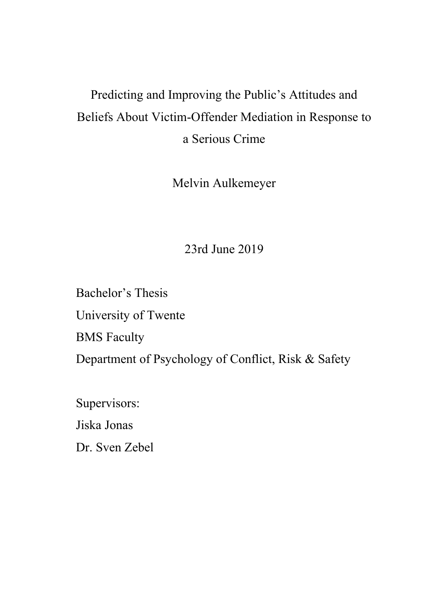# Predicting and Improving the Public's Attitudes and Beliefs About Victim-Offender Mediation in Response to a Serious Crime

Melvin Aulkemeyer

23rd June 2019

Bachelor's Thesis University of Twente BMS Faculty Department of Psychology of Conflict, Risk & Safety

Supervisors: Jiska Jonas Dr. Sven Zebel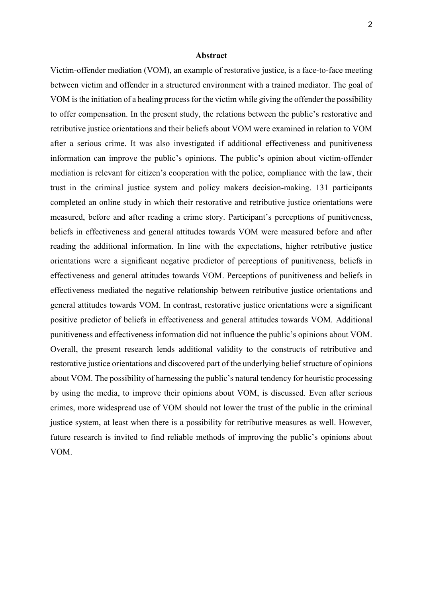#### **Abstract**

Victim-offender mediation (VOM), an example of restorative justice, is a face-to-face meeting between victim and offender in a structured environment with a trained mediator. The goal of VOM is the initiation of a healing process for the victim while giving the offender the possibility to offer compensation. In the present study, the relations between the public's restorative and retributive justice orientations and their beliefs about VOM were examined in relation to VOM after a serious crime. It was also investigated if additional effectiveness and punitiveness information can improve the public's opinions. The public's opinion about victim-offender mediation is relevant for citizen's cooperation with the police, compliance with the law, their trust in the criminal justice system and policy makers decision-making. 131 participants completed an online study in which their restorative and retributive justice orientations were measured, before and after reading a crime story. Participant's perceptions of punitiveness, beliefs in effectiveness and general attitudes towards VOM were measured before and after reading the additional information. In line with the expectations, higher retributive justice orientations were a significant negative predictor of perceptions of punitiveness, beliefs in effectiveness and general attitudes towards VOM. Perceptions of punitiveness and beliefs in effectiveness mediated the negative relationship between retributive justice orientations and general attitudes towards VOM. In contrast, restorative justice orientations were a significant positive predictor of beliefs in effectiveness and general attitudes towards VOM. Additional punitiveness and effectiveness information did not influence the public's opinions about VOM. Overall, the present research lends additional validity to the constructs of retributive and restorative justice orientations and discovered part of the underlying belief structure of opinions about VOM. The possibility of harnessing the public's natural tendency for heuristic processing by using the media, to improve their opinions about VOM, is discussed. Even after serious crimes, more widespread use of VOM should not lower the trust of the public in the criminal justice system, at least when there is a possibility for retributive measures as well. However, future research is invited to find reliable methods of improving the public's opinions about VOM.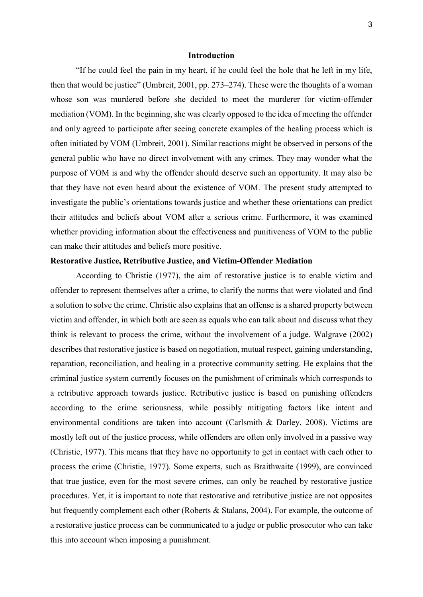## **Introduction**

"If he could feel the pain in my heart, if he could feel the hole that he left in my life, then that would be justice" (Umbreit, 2001, pp. 273–274). These were the thoughts of a woman whose son was murdered before she decided to meet the murderer for victim-offender mediation (VOM). In the beginning, she was clearly opposed to the idea of meeting the offender and only agreed to participate after seeing concrete examples of the healing process which is often initiated by VOM (Umbreit, 2001). Similar reactions might be observed in persons of the general public who have no direct involvement with any crimes. They may wonder what the purpose of VOM is and why the offender should deserve such an opportunity. It may also be that they have not even heard about the existence of VOM. The present study attempted to investigate the public's orientations towards justice and whether these orientations can predict their attitudes and beliefs about VOM after a serious crime. Furthermore, it was examined whether providing information about the effectiveness and punitiveness of VOM to the public can make their attitudes and beliefs more positive.

## **Restorative Justice, Retributive Justice, and Victim-Offender Mediation**

 According to Christie (1977), the aim of restorative justice is to enable victim and offender to represent themselves after a crime, to clarify the norms that were violated and find a solution to solve the crime. Christie also explains that an offense is a shared property between victim and offender, in which both are seen as equals who can talk about and discuss what they think is relevant to process the crime, without the involvement of a judge. Walgrave (2002) describes that restorative justice is based on negotiation, mutual respect, gaining understanding, reparation, reconciliation, and healing in a protective community setting. He explains that the criminal justice system currently focuses on the punishment of criminals which corresponds to a retributive approach towards justice. Retributive justice is based on punishing offenders according to the crime seriousness, while possibly mitigating factors like intent and environmental conditions are taken into account (Carlsmith & Darley, 2008). Victims are mostly left out of the justice process, while offenders are often only involved in a passive way (Christie, 1977). This means that they have no opportunity to get in contact with each other to process the crime (Christie, 1977). Some experts, such as Braithwaite (1999), are convinced that true justice, even for the most severe crimes, can only be reached by restorative justice procedures. Yet, it is important to note that restorative and retributive justice are not opposites but frequently complement each other (Roberts & Stalans, 2004). For example, the outcome of a restorative justice process can be communicated to a judge or public prosecutor who can take this into account when imposing a punishment.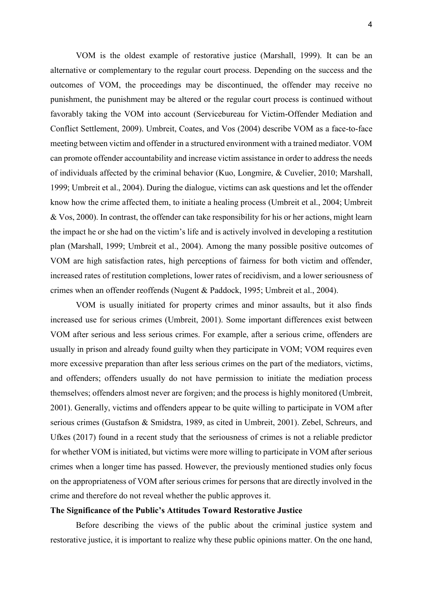VOM is the oldest example of restorative justice (Marshall, 1999). It can be an alternative or complementary to the regular court process. Depending on the success and the outcomes of VOM, the proceedings may be discontinued, the offender may receive no punishment, the punishment may be altered or the regular court process is continued without favorably taking the VOM into account (Servicebureau for Victim-Offender Mediation and Conflict Settlement, 2009). Umbreit, Coates, and Vos (2004) describe VOM as a face-to-face meeting between victim and offender in a structured environment with a trained mediator. VOM can promote offender accountability and increase victim assistance in order to address the needs of individuals affected by the criminal behavior (Kuo, Longmire, & Cuvelier, 2010; Marshall, 1999; Umbreit et al., 2004). During the dialogue, victims can ask questions and let the offender know how the crime affected them, to initiate a healing process (Umbreit et al., 2004; Umbreit & Vos, 2000). In contrast, the offender can take responsibility for his or her actions, might learn the impact he or she had on the victim's life and is actively involved in developing a restitution plan (Marshall, 1999; Umbreit et al., 2004). Among the many possible positive outcomes of VOM are high satisfaction rates, high perceptions of fairness for both victim and offender, increased rates of restitution completions, lower rates of recidivism, and a lower seriousness of crimes when an offender reoffends (Nugent & Paddock, 1995; Umbreit et al., 2004).

VOM is usually initiated for property crimes and minor assaults, but it also finds increased use for serious crimes (Umbreit, 2001). Some important differences exist between VOM after serious and less serious crimes. For example, after a serious crime, offenders are usually in prison and already found guilty when they participate in VOM; VOM requires even more excessive preparation than after less serious crimes on the part of the mediators, victims, and offenders; offenders usually do not have permission to initiate the mediation process themselves; offenders almost never are forgiven; and the process is highly monitored (Umbreit, 2001). Generally, victims and offenders appear to be quite willing to participate in VOM after serious crimes (Gustafson & Smidstra, 1989, as cited in Umbreit, 2001). Zebel, Schreurs, and Ufkes (2017) found in a recent study that the seriousness of crimes is not a reliable predictor for whether VOM is initiated, but victims were more willing to participate in VOM after serious crimes when a longer time has passed. However, the previously mentioned studies only focus on the appropriateness of VOM after serious crimes for persons that are directly involved in the crime and therefore do not reveal whether the public approves it.

## **The Significance of the Public's Attitudes Toward Restorative Justice**

Before describing the views of the public about the criminal justice system and restorative justice, it is important to realize why these public opinions matter. On the one hand,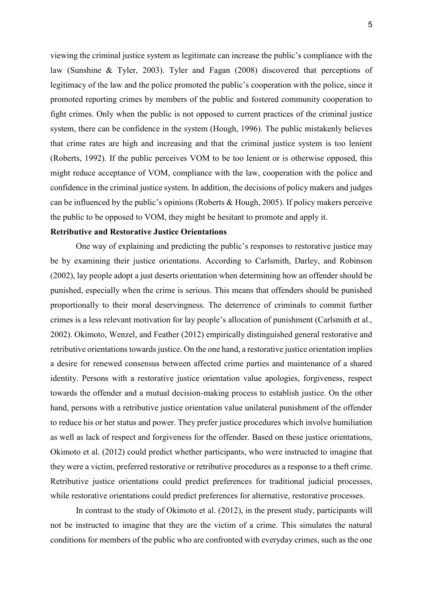viewing the criminal justice system as legitimate can increase the public's compliance with the law (Sunshine & Tyler, 2003). Tyler and Fagan (2008) discovered that perceptions of legitimacy of the law and the police promoted the public's cooperation with the police, since it promoted reporting crimes by members of the public and fostered community cooperation to fight crimes. Only when the public is not opposed to current practices of the criminal justice system, there can be confidence in the system (Hough, 1996). The public mistakenly believes that crime rates are high and increasing and that the criminal justice system is too lenient (Roberts, 1992). If the public perceives VOM to be too lenient or is otherwise opposed, this might reduce acceptance of VOM, compliance with the law, cooperation with the police and confidence in the criminal justice system. In addition, the decisions of policy makers and judges can be influenced by the public's opinions (Roberts & Hough, 2005). If policy makers perceive the public to be opposed to VOM, they might be hesitant to promote and apply it.

#### **Retributive and Restorative Justice Orientations**

One way of explaining and predicting the public's responses to restorative justice may be by examining their justice orientations. According to Carlsmith, Darley, and Robinson (2002), lay people adopt a just deserts orientation when determining how an offender should be punished, especially when the crime is serious. This means that offenders should be punished proportionally to their moral deservingness. The deterrence of criminals to commit further crimes is a less relevant motivation for lay people's allocation of punishment (Carlsmith et al., 2002). Okimoto, Wenzel, and Feather (2012) empirically distinguished general restorative and retributive orientations towards justice. On the one hand, a restorative justice orientation implies a desire for renewed consensus between affected crime parties and maintenance of a shared identity. Persons with a restorative justice orientation value apologies, forgiveness, respect towards the offender and a mutual decision-making process to establish justice. On the other hand, persons with a retributive justice orientation value unilateral punishment of the offender to reduce his or her status and power. They prefer justice procedures which involve humiliation as well as lack of respect and forgiveness for the offender. Based on these justice orientations, Okimoto et al. (2012) could predict whether participants, who were instructed to imagine that they were a victim, preferred restorative or retributive procedures as a response to a theft crime. Retributive justice orientations could predict preferences for traditional judicial processes, while restorative orientations could predict preferences for alternative, restorative processes.

In contrast to the study of Okimoto et al. (2012), in the present study, participants will not be instructed to imagine that they are the victim of a crime. This simulates the natural conditions for members of the public who are confronted with everyday crimes, such as the one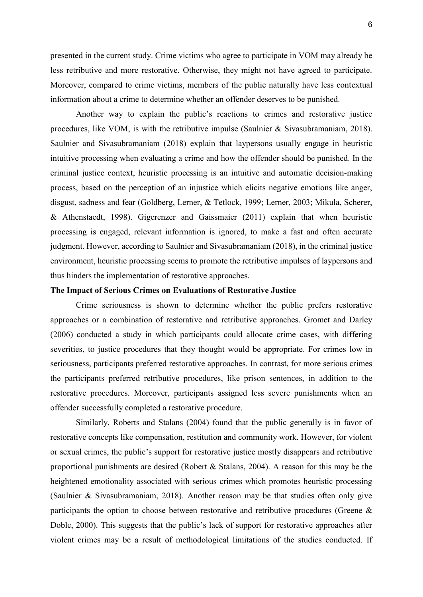6

presented in the current study. Crime victims who agree to participate in VOM may already be less retributive and more restorative. Otherwise, they might not have agreed to participate. Moreover, compared to crime victims, members of the public naturally have less contextual information about a crime to determine whether an offender deserves to be punished.

Another way to explain the public's reactions to crimes and restorative justice procedures, like VOM, is with the retributive impulse (Saulnier & Sivasubramaniam, 2018). Saulnier and Sivasubramaniam (2018) explain that laypersons usually engage in heuristic intuitive processing when evaluating a crime and how the offender should be punished. In the criminal justice context, heuristic processing is an intuitive and automatic decision-making process, based on the perception of an injustice which elicits negative emotions like anger, disgust, sadness and fear (Goldberg, Lerner, & Tetlock, 1999; Lerner, 2003; Mikula, Scherer, & Athenstaedt, 1998). Gigerenzer and Gaissmaier (2011) explain that when heuristic processing is engaged, relevant information is ignored, to make a fast and often accurate judgment. However, according to Saulnier and Sivasubramaniam (2018), in the criminal justice environment, heuristic processing seems to promote the retributive impulses of laypersons and thus hinders the implementation of restorative approaches.

## **The Impact of Serious Crimes on Evaluations of Restorative Justice**

Crime seriousness is shown to determine whether the public prefers restorative approaches or a combination of restorative and retributive approaches. Gromet and Darley (2006) conducted a study in which participants could allocate crime cases, with differing severities, to justice procedures that they thought would be appropriate. For crimes low in seriousness, participants preferred restorative approaches. In contrast, for more serious crimes the participants preferred retributive procedures, like prison sentences, in addition to the restorative procedures. Moreover, participants assigned less severe punishments when an offender successfully completed a restorative procedure.

Similarly, Roberts and Stalans (2004) found that the public generally is in favor of restorative concepts like compensation, restitution and community work. However, for violent or sexual crimes, the public's support for restorative justice mostly disappears and retributive proportional punishments are desired (Robert & Stalans, 2004). A reason for this may be the heightened emotionality associated with serious crimes which promotes heuristic processing (Saulnier & Sivasubramaniam, 2018). Another reason may be that studies often only give participants the option to choose between restorative and retributive procedures (Greene & Doble, 2000). This suggests that the public's lack of support for restorative approaches after violent crimes may be a result of methodological limitations of the studies conducted. If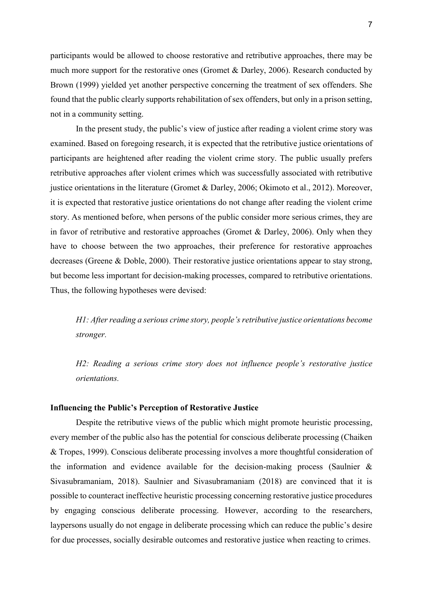participants would be allowed to choose restorative and retributive approaches, there may be much more support for the restorative ones (Gromet & Darley, 2006). Research conducted by Brown (1999) yielded yet another perspective concerning the treatment of sex offenders. She found that the public clearly supports rehabilitation of sex offenders, but only in a prison setting, not in a community setting.

In the present study, the public's view of justice after reading a violent crime story was examined. Based on foregoing research, it is expected that the retributive justice orientations of participants are heightened after reading the violent crime story. The public usually prefers retributive approaches after violent crimes which was successfully associated with retributive justice orientations in the literature (Gromet & Darley, 2006; Okimoto et al., 2012). Moreover, it is expected that restorative justice orientations do not change after reading the violent crime story. As mentioned before, when persons of the public consider more serious crimes, they are in favor of retributive and restorative approaches (Gromet  $\&$  Darley, 2006). Only when they have to choose between the two approaches, their preference for restorative approaches decreases (Greene & Doble, 2000). Their restorative justice orientations appear to stay strong, but become less important for decision-making processes, compared to retributive orientations. Thus, the following hypotheses were devised:

*H1: After reading a serious crime story, people's retributive justice orientations become stronger.* 

*H2: Reading a serious crime story does not influence people's restorative justice orientations.* 

## **Influencing the Public's Perception of Restorative Justice**

Despite the retributive views of the public which might promote heuristic processing, every member of the public also has the potential for conscious deliberate processing (Chaiken & Tropes, 1999). Conscious deliberate processing involves a more thoughtful consideration of the information and evidence available for the decision-making process (Saulnier & Sivasubramaniam, 2018). Saulnier and Sivasubramaniam (2018) are convinced that it is possible to counteract ineffective heuristic processing concerning restorative justice procedures by engaging conscious deliberate processing. However, according to the researchers, laypersons usually do not engage in deliberate processing which can reduce the public's desire for due processes, socially desirable outcomes and restorative justice when reacting to crimes.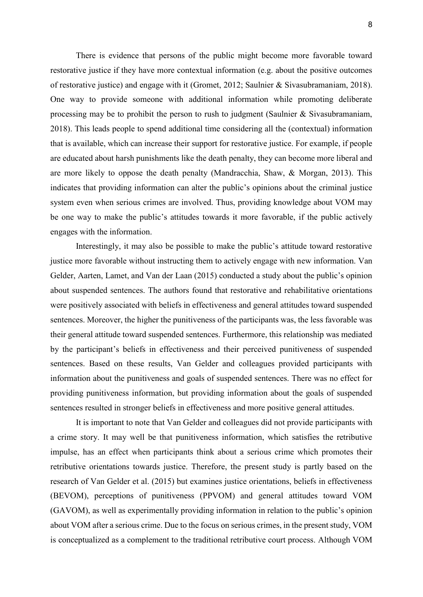There is evidence that persons of the public might become more favorable toward restorative justice if they have more contextual information (e.g. about the positive outcomes of restorative justice) and engage with it (Gromet, 2012; Saulnier & Sivasubramaniam, 2018). One way to provide someone with additional information while promoting deliberate processing may be to prohibit the person to rush to judgment (Saulnier & Sivasubramaniam, 2018). This leads people to spend additional time considering all the (contextual) information that is available, which can increase their support for restorative justice. For example, if people are educated about harsh punishments like the death penalty, they can become more liberal and are more likely to oppose the death penalty (Mandracchia, Shaw, & Morgan, 2013). This indicates that providing information can alter the public's opinions about the criminal justice system even when serious crimes are involved. Thus, providing knowledge about VOM may be one way to make the public's attitudes towards it more favorable, if the public actively engages with the information.

Interestingly, it may also be possible to make the public's attitude toward restorative justice more favorable without instructing them to actively engage with new information. Van Gelder, Aarten, Lamet, and Van der Laan (2015) conducted a study about the public's opinion about suspended sentences. The authors found that restorative and rehabilitative orientations were positively associated with beliefs in effectiveness and general attitudes toward suspended sentences. Moreover, the higher the punitiveness of the participants was, the less favorable was their general attitude toward suspended sentences. Furthermore, this relationship was mediated by the participant's beliefs in effectiveness and their perceived punitiveness of suspended sentences. Based on these results, Van Gelder and colleagues provided participants with information about the punitiveness and goals of suspended sentences. There was no effect for providing punitiveness information, but providing information about the goals of suspended sentences resulted in stronger beliefs in effectiveness and more positive general attitudes.

It is important to note that Van Gelder and colleagues did not provide participants with a crime story. It may well be that punitiveness information, which satisfies the retributive impulse, has an effect when participants think about a serious crime which promotes their retributive orientations towards justice. Therefore, the present study is partly based on the research of Van Gelder et al. (2015) but examines justice orientations, beliefs in effectiveness (BEVOM), perceptions of punitiveness (PPVOM) and general attitudes toward VOM (GAVOM), as well as experimentally providing information in relation to the public's opinion about VOM after a serious crime. Due to the focus on serious crimes, in the present study, VOM is conceptualized as a complement to the traditional retributive court process. Although VOM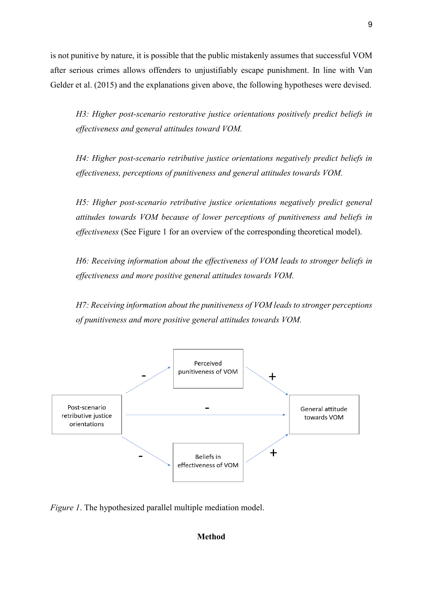is not punitive by nature, it is possible that the public mistakenly assumes that successful VOM after serious crimes allows offenders to unjustifiably escape punishment. In line with Van Gelder et al. (2015) and the explanations given above, the following hypotheses were devised.

*H3: Higher post-scenario restorative justice orientations positively predict beliefs in effectiveness and general attitudes toward VOM.* 

*H4: Higher post-scenario retributive justice orientations negatively predict beliefs in effectiveness, perceptions of punitiveness and general attitudes towards VOM.* 

*H5: Higher post-scenario retributive justice orientations negatively predict general attitudes towards VOM because of lower perceptions of punitiveness and beliefs in effectiveness* (See Figure 1 for an overview of the corresponding theoretical model).

*H6: Receiving information about the effectiveness of VOM leads to stronger beliefs in effectiveness and more positive general attitudes towards VOM.* 

*H7: Receiving information about the punitiveness of VOM leads to stronger perceptions of punitiveness and more positive general attitudes towards VOM.* 



*Figure 1*. The hypothesized parallel multiple mediation model.

## **Method**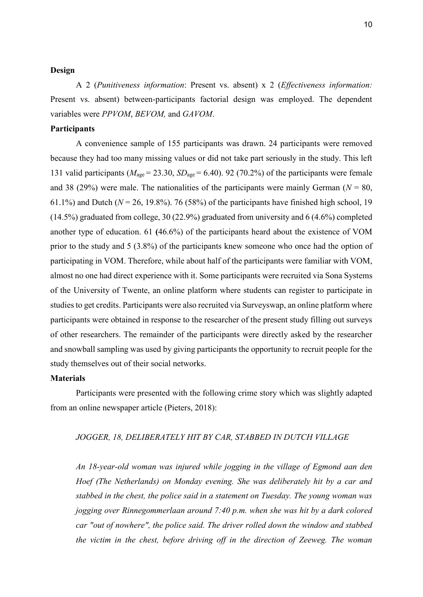## **Design**

A 2 (*Punitiveness information*: Present vs. absent) x 2 (*Effectiveness information:*  Present vs. absent) between-participants factorial design was employed. The dependent variables were *PPVOM*, *BEVOM,* and *GAVOM*.

## **Participants**

A convenience sample of 155 participants was drawn. 24 participants were removed because they had too many missing values or did not take part seriously in the study. This left 131 valid participants ( $M_{\text{age}} = 23.30$ ,  $SD_{\text{age}} = 6.40$ ). 92 (70.2%) of the participants were female and 38 (29%) were male. The nationalities of the participants were mainly German ( $N = 80$ , 61.1%) and Dutch ( $N = 26$ , 19.8%). 76 (58%) of the participants have finished high school, 19 (14.5%) graduated from college, 30 (22.9%) graduated from university and 6 (4.6%) completed another type of education. 61 **(**46.6%) of the participants heard about the existence of VOM prior to the study and 5 (3.8%) of the participants knew someone who once had the option of participating in VOM. Therefore, while about half of the participants were familiar with VOM, almost no one had direct experience with it. Some participants were recruited via Sona Systems of the University of Twente, an online platform where students can register to participate in studies to get credits. Participants were also recruited via Surveyswap, an online platform where participants were obtained in response to the researcher of the present study filling out surveys of other researchers. The remainder of the participants were directly asked by the researcher and snowball sampling was used by giving participants the opportunity to recruit people for the study themselves out of their social networks.

#### **Materials**

Participants were presented with the following crime story which was slightly adapted from an online newspaper article (Pieters, 2018):

## *JOGGER, 18, DELIBERATELY HIT BY CAR, STABBED IN DUTCH VILLAGE*

*An 18-year-old woman was injured while jogging in the village of Egmond aan den Hoef (The Netherlands) on Monday evening. She was deliberately hit by a car and stabbed in the chest, the police said in a statement on Tuesday. The young woman was jogging over Rinnegommerlaan around 7:40 p.m. when she was hit by a dark colored car "out of nowhere", the police said. The driver rolled down the window and stabbed the victim in the chest, before driving off in the direction of Zeeweg. The woman*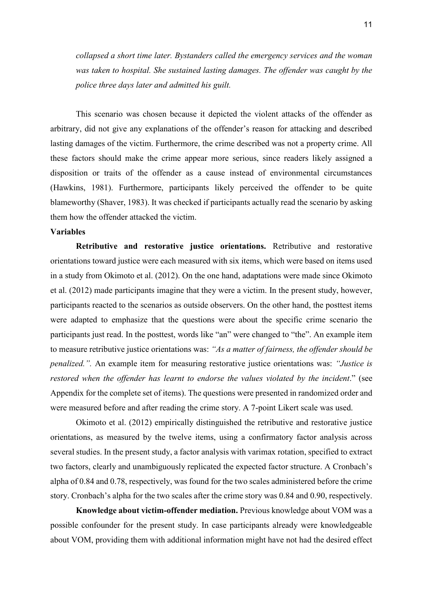*collapsed a short time later. Bystanders called the emergency services and the woman was taken to hospital. She sustained lasting damages. The offender was caught by the police three days later and admitted his guilt.* 

 This scenario was chosen because it depicted the violent attacks of the offender as arbitrary, did not give any explanations of the offender's reason for attacking and described lasting damages of the victim. Furthermore, the crime described was not a property crime. All these factors should make the crime appear more serious, since readers likely assigned a disposition or traits of the offender as a cause instead of environmental circumstances (Hawkins, 1981). Furthermore, participants likely perceived the offender to be quite blameworthy (Shaver, 1983). It was checked if participants actually read the scenario by asking them how the offender attacked the victim.

## **Variables**

**Retributive and restorative justice orientations.** Retributive and restorative orientations toward justice were each measured with six items, which were based on items used in a study from Okimoto et al. (2012). On the one hand, adaptations were made since Okimoto et al. (2012) made participants imagine that they were a victim. In the present study, however, participants reacted to the scenarios as outside observers. On the other hand, the posttest items were adapted to emphasize that the questions were about the specific crime scenario the participants just read. In the posttest, words like "an" were changed to "the". An example item to measure retributive justice orientations was: *"As a matter of fairness, the offender should be penalized.".* An example item for measuring restorative justice orientations was: *"Justice is restored when the offender has learnt to endorse the values violated by the incident*." (see Appendix for the complete set of items). The questions were presented in randomized order and were measured before and after reading the crime story. A 7-point Likert scale was used.

Okimoto et al. (2012) empirically distinguished the retributive and restorative justice orientations, as measured by the twelve items, using a confirmatory factor analysis across several studies. In the present study, a factor analysis with varimax rotation, specified to extract two factors, clearly and unambiguously replicated the expected factor structure. A Cronbach's alpha of 0.84 and 0.78, respectively, was found for the two scales administered before the crime story. Cronbach's alpha for the two scales after the crime story was 0.84 and 0.90, respectively.

**Knowledge about victim-offender mediation.** Previous knowledge about VOM was a possible confounder for the present study. In case participants already were knowledgeable about VOM, providing them with additional information might have not had the desired effect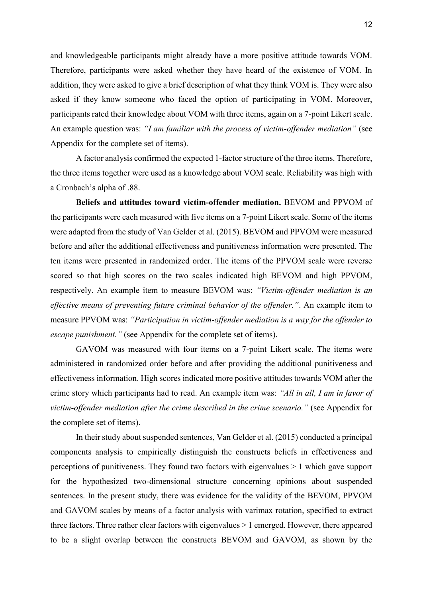and knowledgeable participants might already have a more positive attitude towards VOM. Therefore, participants were asked whether they have heard of the existence of VOM. In addition, they were asked to give a brief description of what they think VOM is. They were also asked if they know someone who faced the option of participating in VOM. Moreover, participants rated their knowledge about VOM with three items, again on a 7-point Likert scale. An example question was: *"I am familiar with the process of victim-offender mediation"* (see Appendix for the complete set of items).

A factor analysis confirmed the expected 1-factor structure of the three items. Therefore, the three items together were used as a knowledge about VOM scale. Reliability was high with a Cronbach's alpha of .88.

**Beliefs and attitudes toward victim-offender mediation.** BEVOM and PPVOM of the participants were each measured with five items on a 7-point Likert scale. Some of the items were adapted from the study of Van Gelder et al. (2015). BEVOM and PPVOM were measured before and after the additional effectiveness and punitiveness information were presented. The ten items were presented in randomized order. The items of the PPVOM scale were reverse scored so that high scores on the two scales indicated high BEVOM and high PPVOM, respectively. An example item to measure BEVOM was: *"Victim-offender mediation is an effective means of preventing future criminal behavior of the offender."*. An example item to measure PPVOM was: *"Participation in victim-offender mediation is a way for the offender to escape punishment."* (see Appendix for the complete set of items).

GAVOM was measured with four items on a 7-point Likert scale. The items were administered in randomized order before and after providing the additional punitiveness and effectiveness information. High scores indicated more positive attitudes towards VOM after the crime story which participants had to read. An example item was: *"All in all, I am in favor of victim-offender mediation after the crime described in the crime scenario."* (see Appendix for the complete set of items).

In their study about suspended sentences, Van Gelder et al. (2015) conducted a principal components analysis to empirically distinguish the constructs beliefs in effectiveness and perceptions of punitiveness. They found two factors with eigenvalues > 1 which gave support for the hypothesized two-dimensional structure concerning opinions about suspended sentences. In the present study, there was evidence for the validity of the BEVOM, PPVOM and GAVOM scales by means of a factor analysis with varimax rotation, specified to extract three factors. Three rather clear factors with eigenvalues > 1 emerged. However, there appeared to be a slight overlap between the constructs BEVOM and GAVOM, as shown by the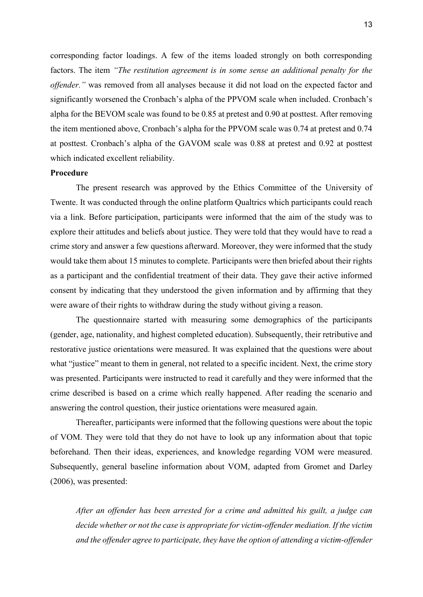corresponding factor loadings. A few of the items loaded strongly on both corresponding factors. The item *"The restitution agreement is in some sense an additional penalty for the offender."* was removed from all analyses because it did not load on the expected factor and significantly worsened the Cronbach's alpha of the PPVOM scale when included. Cronbach's alpha for the BEVOM scale was found to be 0.85 at pretest and 0.90 at posttest. After removing the item mentioned above, Cronbach's alpha for the PPVOM scale was 0.74 at pretest and 0.74 at posttest. Cronbach's alpha of the GAVOM scale was 0.88 at pretest and 0.92 at posttest which indicated excellent reliability.

#### **Procedure**

The present research was approved by the Ethics Committee of the University of Twente. It was conducted through the online platform Qualtrics which participants could reach via a link. Before participation, participants were informed that the aim of the study was to explore their attitudes and beliefs about justice. They were told that they would have to read a crime story and answer a few questions afterward. Moreover, they were informed that the study would take them about 15 minutes to complete. Participants were then briefed about their rights as a participant and the confidential treatment of their data. They gave their active informed consent by indicating that they understood the given information and by affirming that they were aware of their rights to withdraw during the study without giving a reason.

The questionnaire started with measuring some demographics of the participants (gender, age, nationality, and highest completed education). Subsequently, their retributive and restorative justice orientations were measured. It was explained that the questions were about what "justice" meant to them in general, not related to a specific incident. Next, the crime story was presented. Participants were instructed to read it carefully and they were informed that the crime described is based on a crime which really happened. After reading the scenario and answering the control question, their justice orientations were measured again.

 Thereafter, participants were informed that the following questions were about the topic of VOM. They were told that they do not have to look up any information about that topic beforehand. Then their ideas, experiences, and knowledge regarding VOM were measured. Subsequently, general baseline information about VOM, adapted from Gromet and Darley (2006), was presented:

*After an offender has been arrested for a crime and admitted his guilt, a judge can decide whether or not the case is appropriate for victim-offender mediation. If the victim and the offender agree to participate, they have the option of attending a victim-offender*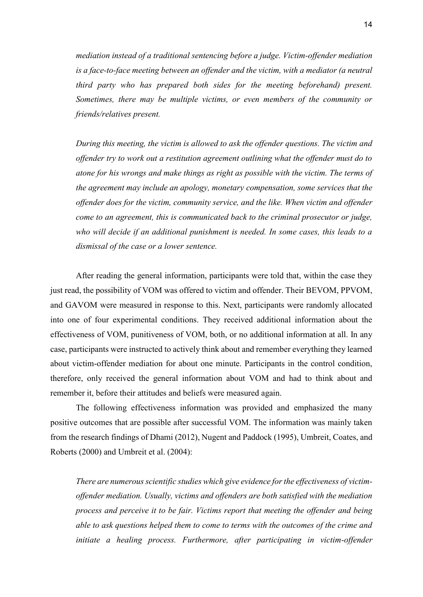*mediation instead of a traditional sentencing before a judge. Victim-offender mediation is a face-to-face meeting between an offender and the victim, with a mediator (a neutral third party who has prepared both sides for the meeting beforehand) present. Sometimes, there may be multiple victims, or even members of the community or friends/relatives present.* 

*During this meeting, the victim is allowed to ask the offender questions. The victim and offender try to work out a restitution agreement outlining what the offender must do to atone for his wrongs and make things as right as possible with the victim. The terms of the agreement may include an apology, monetary compensation, some services that the offender does for the victim, community service, and the like. When victim and offender come to an agreement, this is communicated back to the criminal prosecutor or judge, who will decide if an additional punishment is needed. In some cases, this leads to a dismissal of the case or a lower sentence.* 

 After reading the general information, participants were told that, within the case they just read, the possibility of VOM was offered to victim and offender. Their BEVOM, PPVOM, and GAVOM were measured in response to this. Next, participants were randomly allocated into one of four experimental conditions. They received additional information about the effectiveness of VOM, punitiveness of VOM, both, or no additional information at all. In any case, participants were instructed to actively think about and remember everything they learned about victim-offender mediation for about one minute. Participants in the control condition, therefore, only received the general information about VOM and had to think about and remember it, before their attitudes and beliefs were measured again.

 The following effectiveness information was provided and emphasized the many positive outcomes that are possible after successful VOM. The information was mainly taken from the research findings of Dhami (2012), Nugent and Paddock (1995), Umbreit, Coates, and Roberts (2000) and Umbreit et al. (2004):

*There are numerous scientific studies which give evidence for the effectiveness of victimoffender mediation. Usually, victims and offenders are both satisfied with the mediation process and perceive it to be fair. Victims report that meeting the offender and being able to ask questions helped them to come to terms with the outcomes of the crime and*  initiate a healing process. Furthermore, after participating in victim-offender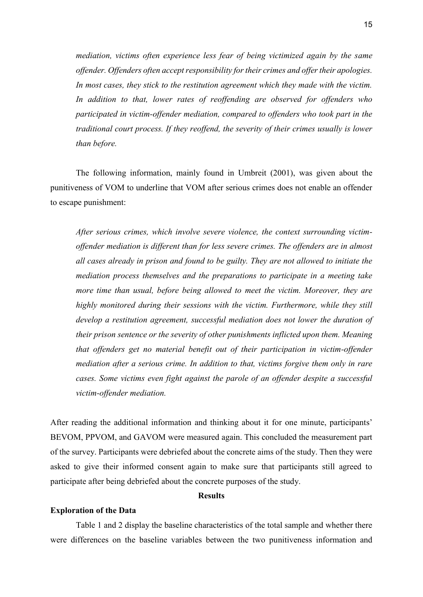*mediation, victims often experience less fear of being victimized again by the same offender. Offenders often accept responsibility for their crimes and offer their apologies. In most cases, they stick to the restitution agreement which they made with the victim. In addition to that, lower rates of reoffending are observed for offenders who participated in victim-offender mediation, compared to offenders who took part in the traditional court process. If they reoffend, the severity of their crimes usually is lower than before.* 

The following information, mainly found in Umbreit (2001), was given about the punitiveness of VOM to underline that VOM after serious crimes does not enable an offender to escape punishment:

*After serious crimes, which involve severe violence, the context surrounding victimoffender mediation is different than for less severe crimes. The offenders are in almost all cases already in prison and found to be guilty. They are not allowed to initiate the mediation process themselves and the preparations to participate in a meeting take more time than usual, before being allowed to meet the victim. Moreover, they are highly monitored during their sessions with the victim. Furthermore, while they still develop a restitution agreement, successful mediation does not lower the duration of their prison sentence or the severity of other punishments inflicted upon them. Meaning that offenders get no material benefit out of their participation in victim-offender mediation after a serious crime. In addition to that, victims forgive them only in rare cases. Some victims even fight against the parole of an offender despite a successful victim-offender mediation.* 

After reading the additional information and thinking about it for one minute, participants' BEVOM, PPVOM, and GAVOM were measured again. This concluded the measurement part of the survey. Participants were debriefed about the concrete aims of the study. Then they were asked to give their informed consent again to make sure that participants still agreed to participate after being debriefed about the concrete purposes of the study.

## **Results**

## **Exploration of the Data**

Table 1 and 2 display the baseline characteristics of the total sample and whether there were differences on the baseline variables between the two punitiveness information and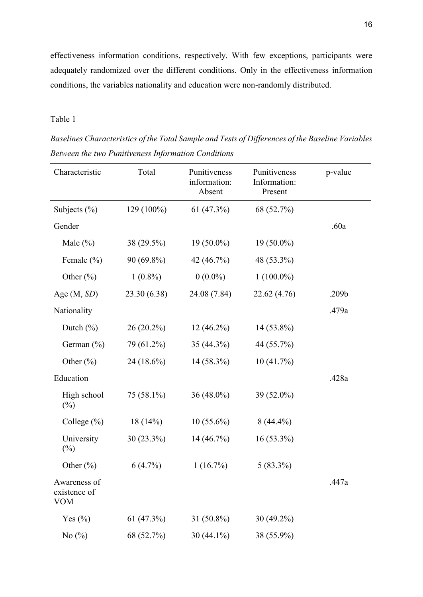effectiveness information conditions, respectively. With few exceptions, participants were adequately randomized over the different conditions. Only in the effectiveness information conditions, the variables nationality and education were non-randomly distributed.

# Table 1

| Characteristic                             | Total        | Punitiveness<br>information:<br>Absent | Punitiveness<br>Information:<br>Present | p-value |
|--------------------------------------------|--------------|----------------------------------------|-----------------------------------------|---------|
| Subjects $(\% )$                           | 129 (100%)   | 61(47.3%)                              | 68 (52.7%)                              |         |
| Gender                                     |              |                                        |                                         | .60a    |
| Male $(\% )$                               | 38 (29.5%)   | $19(50.0\%)$                           | $19(50.0\%)$                            |         |
| Female $(\% )$                             | 90 (69.8%)   | 42 (46.7%)                             | 48 (53.3%)                              |         |
| Other $(\% )$                              | $1(0.8\%)$   | $0(0.0\%)$                             | $1(100.0\%)$                            |         |
| Age $(M, SD)$                              | 23.30 (6.38) | 24.08 (7.84)                           | 22.62 (4.76)                            | .209b   |
| Nationality                                |              |                                        |                                         | .479a   |
| Dutch $(\% )$                              | $26(20.2\%)$ | $12(46.2\%)$                           | 14 (53.8%)                              |         |
| German $(\% )$                             | 79 (61.2%)   | 35 (44.3%)                             | 44 (55.7%)                              |         |
| Other $(\% )$                              | 24 (18.6%)   | 14 (58.3%)                             | 10(41.7%)                               |         |
| Education                                  |              |                                        |                                         | .428a   |
| High school<br>$(\%)$                      | 75 (58.1%)   | $36(48.0\%)$                           | 39 (52.0%)                              |         |
| College $(\% )$                            | $18(14\%)$   | $10(55.6\%)$                           | $8(44.4\%)$                             |         |
| University<br>$(\%)$                       | 30 (23.3%)   | 14(46.7%)                              | $16(53.3\%)$                            |         |
| Other $(\% )$                              | $6(4.7\%)$   | 1(16.7%)                               | $5(83.3\%)$                             |         |
| Awareness of<br>existence of<br><b>VOM</b> |              |                                        |                                         | .447a   |
| Yes $(\% )$                                | 61(47.3%)    | 31 (50.8%)                             | $30(49.2\%)$                            |         |
| No $(\%)$                                  | 68 (52.7%)   | 30 (44.1%)                             | 38 (55.9%)                              |         |

*Baselines Characteristics of the Total Sample and Tests of Differences of the Baseline Variables Between the two Punitiveness Information Conditions*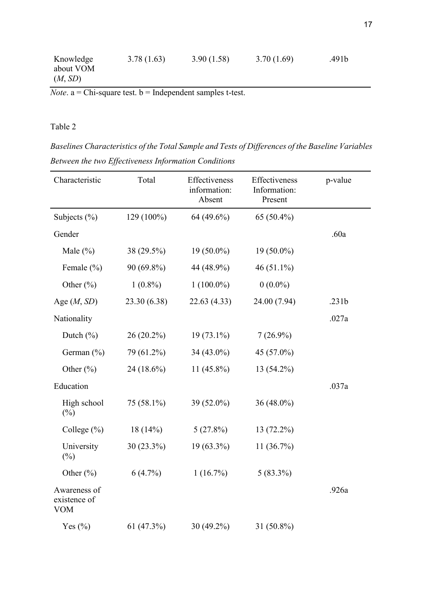| Knowledge | 3.78(1.63) | 3.90(1.58) | 3.70(1.69) | .491b |
|-----------|------------|------------|------------|-------|
| about VOM |            |            |            |       |
| (M, SD)   |            |            |            |       |

 $$ 

# Table 2

*Baselines Characteristics of the Total Sample and Tests of Differences of the Baseline Variables Between the two Effectiveness Information Conditions*

| Characteristic                             | Total        | Effectiveness<br>information:<br>Absent | Effectiveness<br>Information:<br>Present | p-value |
|--------------------------------------------|--------------|-----------------------------------------|------------------------------------------|---------|
| Subjects $(\% )$                           | 129 (100%)   | 64 (49.6%)                              | 65 (50.4%)                               |         |
| Gender                                     |              |                                         |                                          | .60a    |
| Male $(\%)$                                | 38 (29.5%)   | $19(50.0\%)$                            | 19 (50.0%)                               |         |
| Female $(\% )$                             | 90 (69.8%)   | 44 (48.9%)                              | 46 $(51.1\%)$                            |         |
| Other $(\% )$                              | $1(0.8\%)$   | $1(100.0\%)$                            | $0(0.0\%)$                               |         |
| Age $(M, SD)$                              | 23.30 (6.38) | 22.63(4.33)                             | 24.00 (7.94)                             | .231b   |
| Nationality                                |              |                                         |                                          | .027a   |
| Dutch $(\% )$                              | $26(20.2\%)$ | $19(73.1\%)$                            | $7(26.9\%)$                              |         |
| German $(\% )$                             | 79 (61.2%)   | 34 $(43.0\%)$                           | 45 (57.0%)                               |         |
| Other $(\% )$                              | 24 (18.6%)   | 11 $(45.8\%)$                           | 13 (54.2%)                               |         |
| Education                                  |              |                                         |                                          | .037a   |
| High school<br>(%)                         | $75(58.1\%)$ | 39 (52.0%)                              | 36 $(48.0\%)$                            |         |
| College $(\% )$                            | 18(14%)      | 5(27.8%)                                | 13 (72.2%)                               |         |
| University<br>$(\%)$                       | $30(23.3\%)$ | 19 (63.3%)                              | 11(36.7%)                                |         |
| Other $(\% )$                              | $6(4.7\%)$   | 1(16.7%)                                | $5(83.3\%)$                              |         |
| Awareness of<br>existence of<br><b>VOM</b> |              |                                         |                                          | .926a   |
| Yes $(\% )$                                | 61(47.3%)    | 30 (49.2%)                              | 31 (50.8%)                               |         |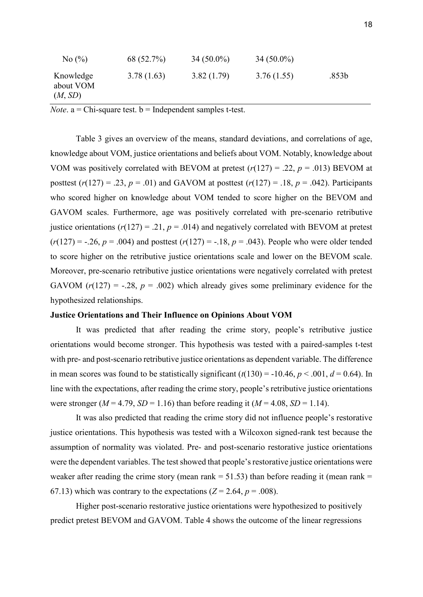| No $\left(\frac{9}{6}\right)$     | 68 (52.7%) | $34(50.0\%)$ | $34(50.0\%)$ |                   |
|-----------------------------------|------------|--------------|--------------|-------------------|
| Knowledge<br>about VOM<br>(M, SD) | 3.78(1.63) | 3.82(1.79)   | 3.76(1.55)   | .853 <sub>b</sub> |

*Note*.  $a = Chi$ -square test.  $b = Independent samples t-test$ .

Table 3 gives an overview of the means, standard deviations, and correlations of age, knowledge about VOM, justice orientations and beliefs about VOM. Notably, knowledge about VOM was positively correlated with BEVOM at pretest  $(r(127) = .22, p = .013)$  BEVOM at posttest  $(r(127) = .23, p = .01)$  and GAVOM at posttest  $(r(127) = .18, p = .042)$ . Participants who scored higher on knowledge about VOM tended to score higher on the BEVOM and GAVOM scales. Furthermore, age was positively correlated with pre-scenario retributive justice orientations ( $r(127) = .21$ ,  $p = .014$ ) and negatively correlated with BEVOM at pretest  $(r(127) = -.26, p = .004)$  and posttest  $(r(127) = -.18, p = .043)$ . People who were older tended to score higher on the retributive justice orientations scale and lower on the BEVOM scale. Moreover, pre-scenario retributive justice orientations were negatively correlated with pretest GAVOM  $(r(127) = -.28, p = .002)$  which already gives some preliminary evidence for the hypothesized relationships.

## **Justice Orientations and Their Influence on Opinions About VOM**

It was predicted that after reading the crime story, people's retributive justice orientations would become stronger. This hypothesis was tested with a paired-samples t-test with pre- and post-scenario retributive justice orientations as dependent variable. The difference in mean scores was found to be statistically significant  $(t(130) = -10.46, p < .001, d = 0.64)$ . In line with the expectations, after reading the crime story, people's retributive justice orientations were stronger ( $M = 4.79$ ,  $SD = 1.16$ ) than before reading it ( $M = 4.08$ ,  $SD = 1.14$ ).

 It was also predicted that reading the crime story did not influence people's restorative justice orientations. This hypothesis was tested with a Wilcoxon signed-rank test because the assumption of normality was violated. Pre- and post-scenario restorative justice orientations were the dependent variables. The test showed that people's restorative justice orientations were weaker after reading the crime story (mean rank  $= 51.53$ ) than before reading it (mean rank  $=$ 67.13) which was contrary to the expectations  $(Z = 2.64, p = .008)$ .

Higher post-scenario restorative justice orientations were hypothesized to positively predict pretest BEVOM and GAVOM. Table 4 shows the outcome of the linear regressions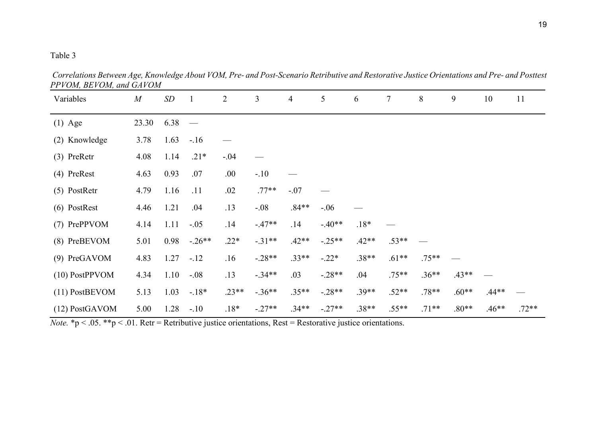# Table 3

Variables *M SD* 1 2 3 4 5 6 7 8 9 10 11 (1) Age 23.30 6.38 — (2) Knowledge 3.78 1.63 -.16 — (3) PreRetr 4.08 1.14 .21\* -.04 — (4) PreRest 4.63 0.93 .07 .00 -.10 — (5) PostRetr  $4.79$   $1.16$   $.11$   $.02$   $.77**$   $-.07$ (6) PostRest 4.46 1.21 .04 .13 -.08 .84\*\* -.06 — (7) PrePPVOM 4.14 1.11 -.05 .14 -.47\*\* .14 -.40\*\* .18\* (8) PreBEVOM 5.01 0.98 -.26\*\* .22\* -.31\*\* .42\*\* -.25\*\* .42\*\* .53\*\* (9) PreGAVOM 4.83 1.27 -.12 .16 -.28\*\* .33\*\* -.22\* .38\*\* .61\*\* .75\*\* — (10) PostPPVOM 4.34 1.10 -.08 .13 -.34\*\* .03 -.28\*\* .04 .75\*\* .36\*\* .43\*\* (11) PostBEVOM 5.13 1.03 -.18\* .23\*\* -.36\*\* .35\*\* -.28\*\* .39\*\* .52\*\* .78\*\* .60\*\* .44\*\* (12) PostGAVOM 5.00 1.28 -.10 .18\* -.27\*\* .34\*\* -.27\*\* .38\*\* .55\*\* .71\*\* .80\*\* .46\*\* .72\*\*

*Correlations Between Age, Knowledge About VOM, Pre- and Post-Scenario Retributive and Restorative Justice Orientations and Pre- and Posttest PPVOM, BEVOM, and GAVOM*

*Note.*  $* p < .05$ .  $** p < .01$ . Retr = Retributive justice orientations, Rest = Restorative justice orientations.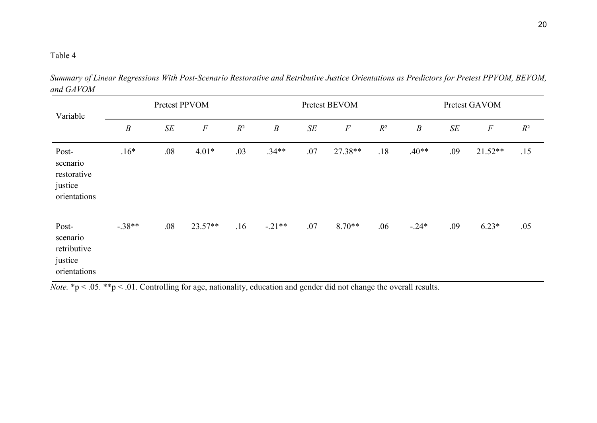# Table 4

| Variable                                                    | Pretest PPVOM    |        |           | Pretest BEVOM |                  |        | Pretest GAVOM |       |                  |           |           |       |
|-------------------------------------------------------------|------------------|--------|-----------|---------------|------------------|--------|---------------|-------|------------------|-----------|-----------|-------|
|                                                             | $\boldsymbol{B}$ | $S\!E$ | $\cal F$  | $R^2$         | $\boldsymbol{B}$ | $S\!E$ | $\cal F$      | $R^2$ | $\boldsymbol{B}$ | $\cal SE$ | $\cal F$  | $R^2$ |
| Post-<br>scenario<br>restorative<br>justice<br>orientations | $.16*$           | .08    | $4.01*$   | .03           | $.34**$          | .07    | 27.38**       | .18   | $.40**$          | .09       | $21.52**$ | .15   |
| Post-<br>scenario<br>retributive<br>justice<br>orientations | $-.38**$         | .08    | $23.57**$ | .16           | $-.21**$         | .07    | $8.70**$      | .06   | $-.24*$          | .09       | $6.23*$   | .05   |

*Summary of Linear Regressions With Post-Scenario Restorative and Retributive Justice Orientations as Predictors for Pretest PPVOM, BEVOM, and GAVOM* L,

*Note.* \*p < .05. \*\*p < .01. Controlling for age, nationality, education and gender did not change the overall results.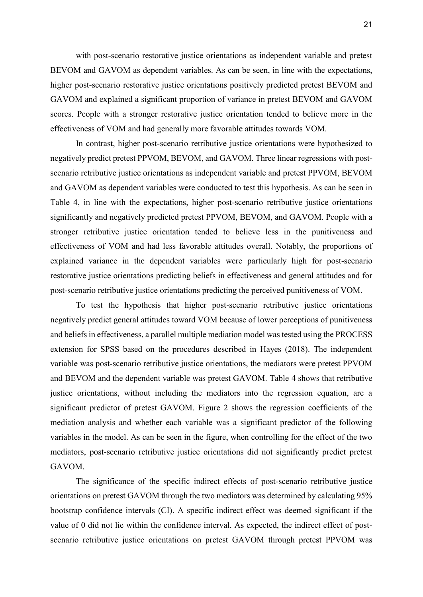with post-scenario restorative justice orientations as independent variable and pretest BEVOM and GAVOM as dependent variables. As can be seen, in line with the expectations, higher post-scenario restorative justice orientations positively predicted pretest BEVOM and GAVOM and explained a significant proportion of variance in pretest BEVOM and GAVOM scores. People with a stronger restorative justice orientation tended to believe more in the effectiveness of VOM and had generally more favorable attitudes towards VOM.

In contrast, higher post-scenario retributive justice orientations were hypothesized to negatively predict pretest PPVOM, BEVOM, and GAVOM. Three linear regressions with postscenario retributive justice orientations as independent variable and pretest PPVOM, BEVOM and GAVOM as dependent variables were conducted to test this hypothesis. As can be seen in Table 4, in line with the expectations, higher post-scenario retributive justice orientations significantly and negatively predicted pretest PPVOM, BEVOM, and GAVOM. People with a stronger retributive justice orientation tended to believe less in the punitiveness and effectiveness of VOM and had less favorable attitudes overall. Notably, the proportions of explained variance in the dependent variables were particularly high for post-scenario restorative justice orientations predicting beliefs in effectiveness and general attitudes and for post-scenario retributive justice orientations predicting the perceived punitiveness of VOM.

To test the hypothesis that higher post-scenario retributive justice orientations negatively predict general attitudes toward VOM because of lower perceptions of punitiveness and beliefs in effectiveness, a parallel multiple mediation model was tested using the PROCESS extension for SPSS based on the procedures described in Hayes (2018). The independent variable was post-scenario retributive justice orientations, the mediators were pretest PPVOM and BEVOM and the dependent variable was pretest GAVOM. Table 4 shows that retributive justice orientations, without including the mediators into the regression equation, are a significant predictor of pretest GAVOM. Figure 2 shows the regression coefficients of the mediation analysis and whether each variable was a significant predictor of the following variables in the model. As can be seen in the figure, when controlling for the effect of the two mediators, post-scenario retributive justice orientations did not significantly predict pretest GAVOM.

The significance of the specific indirect effects of post-scenario retributive justice orientations on pretest GAVOM through the two mediators was determined by calculating 95% bootstrap confidence intervals (CI). A specific indirect effect was deemed significant if the value of 0 did not lie within the confidence interval. As expected, the indirect effect of postscenario retributive justice orientations on pretest GAVOM through pretest PPVOM was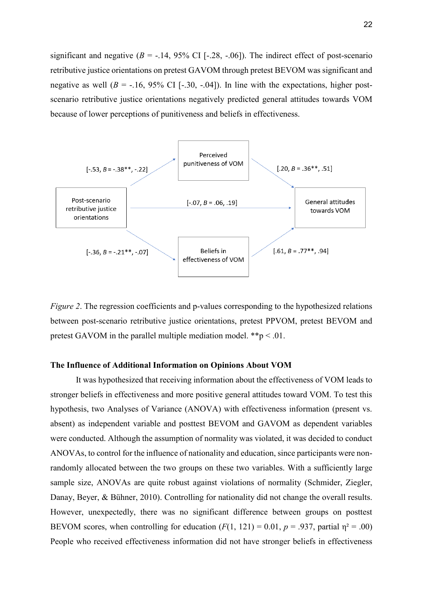significant and negative  $(B = -.14, 95\% \text{ CI} [-.28, -.06])$ . The indirect effect of post-scenario retributive justice orientations on pretest GAVOM through pretest BEVOM was significant and negative as well  $(B = -16, 95\% \text{ CI}$  [ $-30, -04$ ]). In line with the expectations, higher postscenario retributive justice orientations negatively predicted general attitudes towards VOM because of lower perceptions of punitiveness and beliefs in effectiveness.



*Figure 2.* The regression coefficients and p-values corresponding to the hypothesized relations between post-scenario retributive justice orientations, pretest PPVOM, pretest BEVOM and pretest GAVOM in the parallel multiple mediation model.  $*_{p} < .01$ .

## **The Influence of Additional Information on Opinions About VOM**

It was hypothesized that receiving information about the effectiveness of VOM leads to stronger beliefs in effectiveness and more positive general attitudes toward VOM. To test this hypothesis, two Analyses of Variance (ANOVA) with effectiveness information (present vs. absent) as independent variable and posttest BEVOM and GAVOM as dependent variables were conducted. Although the assumption of normality was violated, it was decided to conduct ANOVAs, to control for the influence of nationality and education, since participants were nonrandomly allocated between the two groups on these two variables. With a sufficiently large sample size, ANOVAs are quite robust against violations of normality (Schmider, Ziegler, Danay, Beyer, & Bühner, 2010). Controlling for nationality did not change the overall results. However, unexpectedly, there was no significant difference between groups on posttest BEVOM scores, when controlling for education  $(F(1, 121) = 0.01, p = .937,$  partial  $\eta^2 = .00$ ) People who received effectiveness information did not have stronger beliefs in effectiveness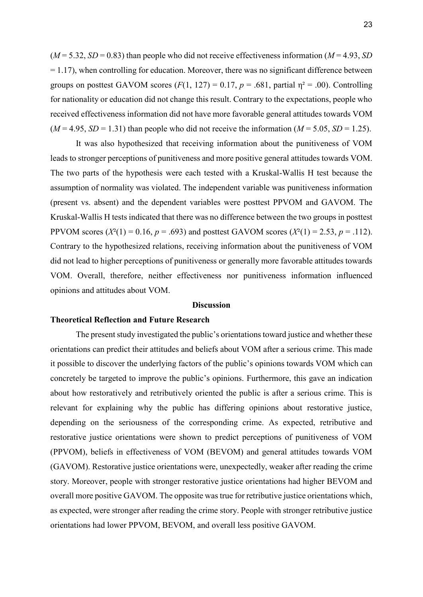$(M = 5.32, SD = 0.83)$  than people who did not receive effectiveness information  $(M = 4.93, SD)$  $= 1.17$ ), when controlling for education. Moreover, there was no significant difference between groups on posttest GAVOM scores  $(F(1, 127) = 0.17, p = .681,$  partial  $\eta^2 = .00$ ). Controlling for nationality or education did not change this result. Contrary to the expectations, people who received effectiveness information did not have more favorable general attitudes towards VOM  $(M = 4.95, SD = 1.31)$  than people who did not receive the information  $(M = 5.05, SD = 1.25)$ .

 It was also hypothesized that receiving information about the punitiveness of VOM leads to stronger perceptions of punitiveness and more positive general attitudes towards VOM. The two parts of the hypothesis were each tested with a Kruskal-Wallis H test because the assumption of normality was violated. The independent variable was punitiveness information (present vs. absent) and the dependent variables were posttest PPVOM and GAVOM. The Kruskal-Wallis H tests indicated that there was no difference between the two groups in posttest PPVOM scores  $(X^{2}(1) = 0.16, p = .693)$  and posttest GAVOM scores  $(X^{2}(1) = 2.53, p = .112)$ . Contrary to the hypothesized relations, receiving information about the punitiveness of VOM did not lead to higher perceptions of punitiveness or generally more favorable attitudes towards VOM. Overall, therefore, neither effectiveness nor punitiveness information influenced opinions and attitudes about VOM.

## **Discussion**

## **Theoretical Reflection and Future Research**

The present study investigated the public's orientations toward justice and whether these orientations can predict their attitudes and beliefs about VOM after a serious crime. This made it possible to discover the underlying factors of the public's opinions towards VOM which can concretely be targeted to improve the public's opinions. Furthermore, this gave an indication about how restoratively and retributively oriented the public is after a serious crime. This is relevant for explaining why the public has differing opinions about restorative justice, depending on the seriousness of the corresponding crime. As expected, retributive and restorative justice orientations were shown to predict perceptions of punitiveness of VOM (PPVOM), beliefs in effectiveness of VOM (BEVOM) and general attitudes towards VOM (GAVOM). Restorative justice orientations were, unexpectedly, weaker after reading the crime story. Moreover, people with stronger restorative justice orientations had higher BEVOM and overall more positive GAVOM. The opposite was true for retributive justice orientations which, as expected, were stronger after reading the crime story. People with stronger retributive justice orientations had lower PPVOM, BEVOM, and overall less positive GAVOM.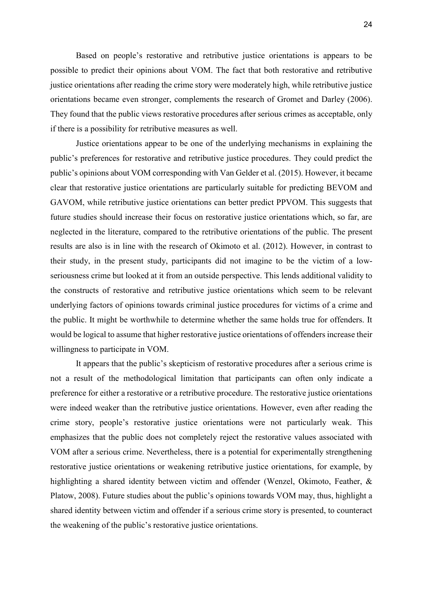Based on people's restorative and retributive justice orientations is appears to be possible to predict their opinions about VOM. The fact that both restorative and retributive justice orientations after reading the crime story were moderately high, while retributive justice orientations became even stronger, complements the research of Gromet and Darley (2006). They found that the public views restorative procedures after serious crimes as acceptable, only if there is a possibility for retributive measures as well.

Justice orientations appear to be one of the underlying mechanisms in explaining the public's preferences for restorative and retributive justice procedures. They could predict the public's opinions about VOM corresponding with Van Gelder et al. (2015). However, it became clear that restorative justice orientations are particularly suitable for predicting BEVOM and GAVOM, while retributive justice orientations can better predict PPVOM. This suggests that future studies should increase their focus on restorative justice orientations which, so far, are neglected in the literature, compared to the retributive orientations of the public. The present results are also is in line with the research of Okimoto et al. (2012). However, in contrast to their study, in the present study, participants did not imagine to be the victim of a lowseriousness crime but looked at it from an outside perspective. This lends additional validity to the constructs of restorative and retributive justice orientations which seem to be relevant underlying factors of opinions towards criminal justice procedures for victims of a crime and the public. It might be worthwhile to determine whether the same holds true for offenders. It would be logical to assume that higher restorative justice orientations of offenders increase their willingness to participate in VOM.

It appears that the public's skepticism of restorative procedures after a serious crime is not a result of the methodological limitation that participants can often only indicate a preference for either a restorative or a retributive procedure. The restorative justice orientations were indeed weaker than the retributive justice orientations. However, even after reading the crime story, people's restorative justice orientations were not particularly weak. This emphasizes that the public does not completely reject the restorative values associated with VOM after a serious crime. Nevertheless, there is a potential for experimentally strengthening restorative justice orientations or weakening retributive justice orientations, for example, by highlighting a shared identity between victim and offender (Wenzel, Okimoto, Feather, & Platow, 2008). Future studies about the public's opinions towards VOM may, thus, highlight a shared identity between victim and offender if a serious crime story is presented, to counteract the weakening of the public's restorative justice orientations.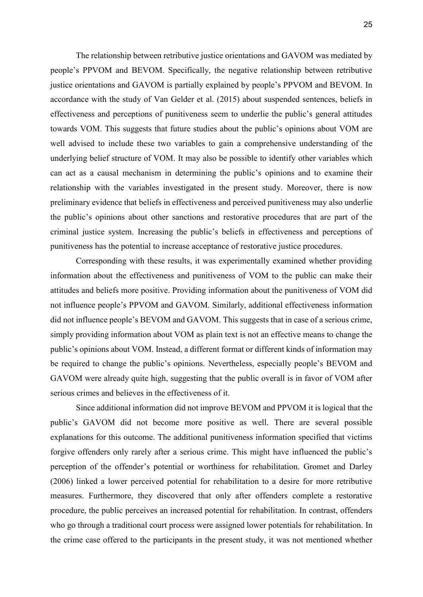The relationship between retributive justice orientations and GAVOM was mediated by people's PPVOM and BEVOM. Specifically, the negative relationship between retributive justice orientations and GAVOM is partially explained by people's PPVOM and BEVOM. In accordance with the study of Van Gelder et al. (2015) about suspended sentences, beliefs in effectiveness and perceptions of punitiveness seem to underlie the public's general attitudes towards VOM. This suggests that future studies about the public's opinions about VOM are well advised to include these two variables to gain a comprehensive understanding of the underlying belief structure of VOM. It may also be possible to identify other variables which can act as a causal mechanism in determining the public's opinions and to examine their relationship with the variables investigated in the present study. Moreover, there is now preliminary evidence that beliefs in effectiveness and perceived punitiveness may also underlie the public's opinions about other sanctions and restorative procedures that are part of the criminal justice system. Increasing the public's beliefs in effectiveness and perceptions of punitiveness has the potential to increase acceptance of restorative justice procedures.

Corresponding with these results, it was experimentally examined whether providing information about the effectiveness and punitiveness of VOM to the public can make their attitudes and beliefs more positive. Providing information about the punitiveness of VOM did not influence people's PPVOM and GAVOM. Similarly, additional effectiveness information did not influence people's BEVOM and GAVOM. This suggests that in case of a serious crime, simply providing information about VOM as plain text is not an effective means to change the public's opinions about VOM. Instead, a different format or different kinds of information may be required to change the public's opinions. Nevertheless, especially people's BEVOM and GAVOM were already quite high, suggesting that the public overall is in favor of VOM after serious crimes and believes in the effectiveness of it.

Since additional information did not improve BEVOM and PPVOM it is logical that the public's GAVOM did not become more positive as well. There are several possible explanations for this outcome. The additional punitiveness information specified that victims forgive offenders only rarely after a serious crime. This might have influenced the public's perception of the offender's potential or worthiness for rehabilitation. Gromet and Darley (2006) linked a lower perceived potential for rehabilitation to a desire for more retributive measures. Furthermore, they discovered that only after offenders complete a restorative procedure, the public perceives an increased potential for rehabilitation. In contrast, offenders who go through a traditional court process were assigned lower potentials for rehabilitation. In the crime case offered to the participants in the present study, it was not mentioned whether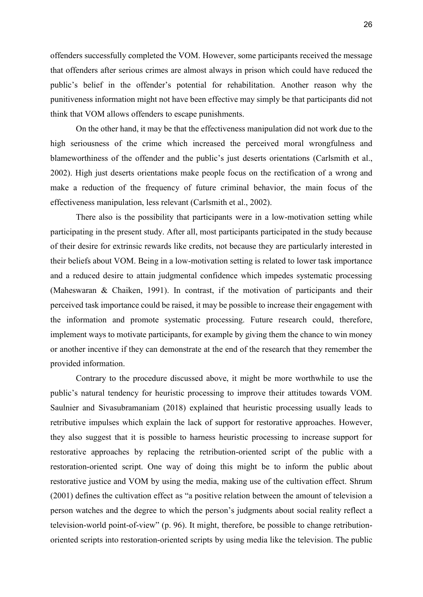offenders successfully completed the VOM. However, some participants received the message that offenders after serious crimes are almost always in prison which could have reduced the public's belief in the offender's potential for rehabilitation. Another reason why the punitiveness information might not have been effective may simply be that participants did not think that VOM allows offenders to escape punishments.

On the other hand, it may be that the effectiveness manipulation did not work due to the high seriousness of the crime which increased the perceived moral wrongfulness and blameworthiness of the offender and the public's just deserts orientations (Carlsmith et al., 2002). High just deserts orientations make people focus on the rectification of a wrong and make a reduction of the frequency of future criminal behavior, the main focus of the effectiveness manipulation, less relevant (Carlsmith et al., 2002).

There also is the possibility that participants were in a low-motivation setting while participating in the present study. After all, most participants participated in the study because of their desire for extrinsic rewards like credits, not because they are particularly interested in their beliefs about VOM. Being in a low-motivation setting is related to lower task importance and a reduced desire to attain judgmental confidence which impedes systematic processing (Maheswaran & Chaiken, 1991). In contrast, if the motivation of participants and their perceived task importance could be raised, it may be possible to increase their engagement with the information and promote systematic processing. Future research could, therefore, implement ways to motivate participants, for example by giving them the chance to win money or another incentive if they can demonstrate at the end of the research that they remember the provided information.

Contrary to the procedure discussed above, it might be more worthwhile to use the public's natural tendency for heuristic processing to improve their attitudes towards VOM. Saulnier and Sivasubramaniam (2018) explained that heuristic processing usually leads to retributive impulses which explain the lack of support for restorative approaches. However, they also suggest that it is possible to harness heuristic processing to increase support for restorative approaches by replacing the retribution-oriented script of the public with a restoration-oriented script. One way of doing this might be to inform the public about restorative justice and VOM by using the media, making use of the cultivation effect. Shrum (2001) defines the cultivation effect as "a positive relation between the amount of television a person watches and the degree to which the person's judgments about social reality reflect a television-world point-of-view" (p. 96). It might, therefore, be possible to change retributionoriented scripts into restoration-oriented scripts by using media like the television. The public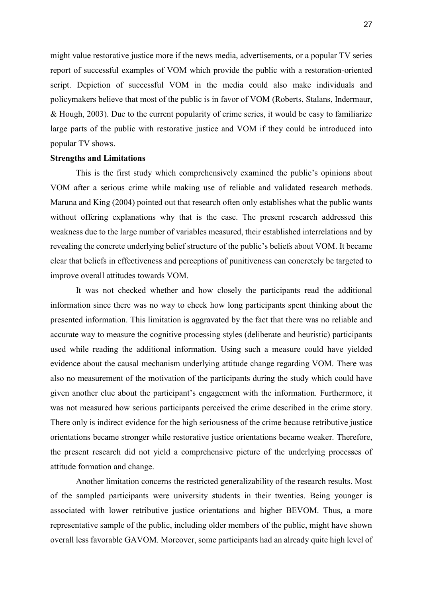might value restorative justice more if the news media, advertisements, or a popular TV series report of successful examples of VOM which provide the public with a restoration-oriented script. Depiction of successful VOM in the media could also make individuals and policymakers believe that most of the public is in favor of VOM (Roberts, Stalans, Indermaur, & Hough, 2003). Due to the current popularity of crime series, it would be easy to familiarize large parts of the public with restorative justice and VOM if they could be introduced into popular TV shows.

#### **Strengths and Limitations**

This is the first study which comprehensively examined the public's opinions about VOM after a serious crime while making use of reliable and validated research methods. Maruna and King (2004) pointed out that research often only establishes what the public wants without offering explanations why that is the case. The present research addressed this weakness due to the large number of variables measured, their established interrelations and by revealing the concrete underlying belief structure of the public's beliefs about VOM. It became clear that beliefs in effectiveness and perceptions of punitiveness can concretely be targeted to improve overall attitudes towards VOM.

 It was not checked whether and how closely the participants read the additional information since there was no way to check how long participants spent thinking about the presented information. This limitation is aggravated by the fact that there was no reliable and accurate way to measure the cognitive processing styles (deliberate and heuristic) participants used while reading the additional information. Using such a measure could have yielded evidence about the causal mechanism underlying attitude change regarding VOM. There was also no measurement of the motivation of the participants during the study which could have given another clue about the participant's engagement with the information. Furthermore, it was not measured how serious participants perceived the crime described in the crime story. There only is indirect evidence for the high seriousness of the crime because retributive justice orientations became stronger while restorative justice orientations became weaker. Therefore, the present research did not yield a comprehensive picture of the underlying processes of attitude formation and change.

 Another limitation concerns the restricted generalizability of the research results. Most of the sampled participants were university students in their twenties. Being younger is associated with lower retributive justice orientations and higher BEVOM. Thus, a more representative sample of the public, including older members of the public, might have shown overall less favorable GAVOM. Moreover, some participants had an already quite high level of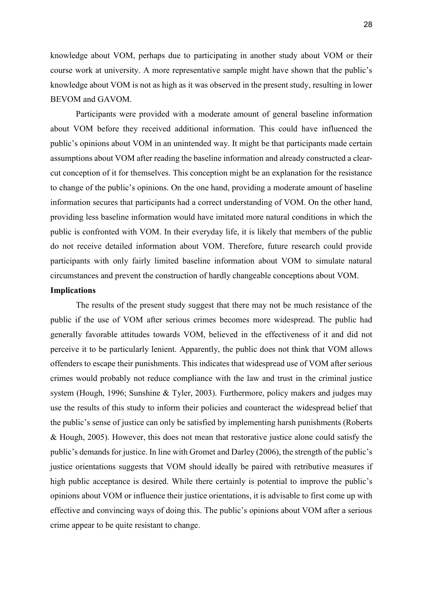knowledge about VOM, perhaps due to participating in another study about VOM or their course work at university. A more representative sample might have shown that the public's knowledge about VOM is not as high as it was observed in the present study, resulting in lower BEVOM and GAVOM.

 Participants were provided with a moderate amount of general baseline information about VOM before they received additional information. This could have influenced the public's opinions about VOM in an unintended way. It might be that participants made certain assumptions about VOM after reading the baseline information and already constructed a clearcut conception of it for themselves. This conception might be an explanation for the resistance to change of the public's opinions. On the one hand, providing a moderate amount of baseline information secures that participants had a correct understanding of VOM. On the other hand, providing less baseline information would have imitated more natural conditions in which the public is confronted with VOM. In their everyday life, it is likely that members of the public do not receive detailed information about VOM. Therefore, future research could provide participants with only fairly limited baseline information about VOM to simulate natural circumstances and prevent the construction of hardly changeable conceptions about VOM.

## **Implications**

The results of the present study suggest that there may not be much resistance of the public if the use of VOM after serious crimes becomes more widespread. The public had generally favorable attitudes towards VOM, believed in the effectiveness of it and did not perceive it to be particularly lenient. Apparently, the public does not think that VOM allows offenders to escape their punishments. This indicates that widespread use of VOM after serious crimes would probably not reduce compliance with the law and trust in the criminal justice system (Hough, 1996; Sunshine & Tyler, 2003). Furthermore, policy makers and judges may use the results of this study to inform their policies and counteract the widespread belief that the public's sense of justice can only be satisfied by implementing harsh punishments (Roberts & Hough, 2005). However, this does not mean that restorative justice alone could satisfy the public's demands for justice. In line with Gromet and Darley (2006), the strength of the public's justice orientations suggests that VOM should ideally be paired with retributive measures if high public acceptance is desired. While there certainly is potential to improve the public's opinions about VOM or influence their justice orientations, it is advisable to first come up with effective and convincing ways of doing this. The public's opinions about VOM after a serious crime appear to be quite resistant to change.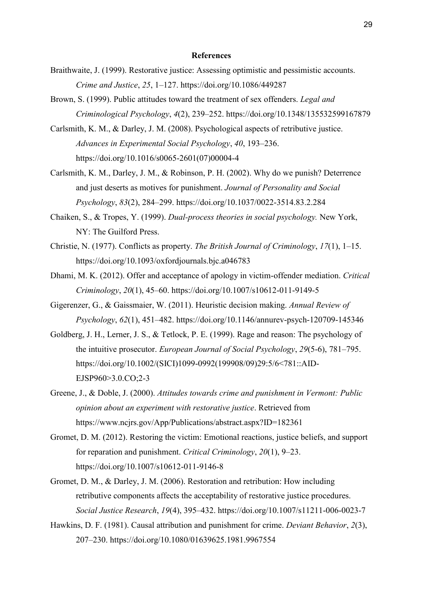#### **References**

- Braithwaite, J. (1999). Restorative justice: Assessing optimistic and pessimistic accounts. *Crime and Justice*, *25*, 1–127. https://doi.org/10.1086/449287
- Brown, S. (1999). Public attitudes toward the treatment of sex offenders. *Legal and Criminological Psychology*, *4*(2), 239–252. https://doi.org/10.1348/135532599167879
- Carlsmith, K. M., & Darley, J. M. (2008). Psychological aspects of retributive justice. *Advances in Experimental Social Psychology*, *40*, 193–236. https://doi.org/10.1016/s0065-2601(07)00004-4
- Carlsmith, K. M., Darley, J. M., & Robinson, P. H. (2002). Why do we punish? Deterrence and just deserts as motives for punishment. *Journal of Personality and Social Psychology*, *83*(2), 284–299. https://doi.org/10.1037/0022-3514.83.2.284
- Chaiken, S., & Tropes, Y. (1999). *Dual-process theories in social psychology.* New York, NY: The Guilford Press.
- Christie, N. (1977). Conflicts as property. *The British Journal of Criminology*, *17*(1), 1–15. https://doi.org/10.1093/oxfordjournals.bjc.a046783
- Dhami, M. K. (2012). Offer and acceptance of apology in victim-offender mediation. *Critical Criminology*, *20*(1), 45–60. https://doi.org/10.1007/s10612-011-9149-5
- Gigerenzer, G., & Gaissmaier, W. (2011). Heuristic decision making. *Annual Review of Psychology*, *62*(1), 451–482. https://doi.org/10.1146/annurev-psych-120709-145346
- Goldberg, J. H., Lerner, J. S., & Tetlock, P. E. (1999). Rage and reason: The psychology of the intuitive prosecutor. *European Journal of Social Psychology*, *29*(5-6), 781–795. https://doi.org/10.1002/(SICI)1099-0992(199908/09)29:5/6<781::AID- EJSP960>3.0.CO;2-3
- Greene, J., & Doble, J. (2000). *Attitudes towards crime and punishment in Vermont: Public opinion about an experiment with restorative justice*. Retrieved from https://www.ncjrs.gov/App/Publications/abstract.aspx?ID=182361
- Gromet, D. M. (2012). Restoring the victim: Emotional reactions, justice beliefs, and support for reparation and punishment. *Critical Criminology*, *20*(1), 9–23. https://doi.org/10.1007/s10612-011-9146-8
- Gromet, D. M., & Darley, J. M. (2006). Restoration and retribution: How including retributive components affects the acceptability of restorative justice procedures. *Social Justice Research*, *19*(4), 395–432. https://doi.org/10.1007/s11211-006-0023-7
- Hawkins, D. F. (1981). Causal attribution and punishment for crime. *Deviant Behavior*, *2*(3), 207–230. https://doi.org/10.1080/01639625.1981.9967554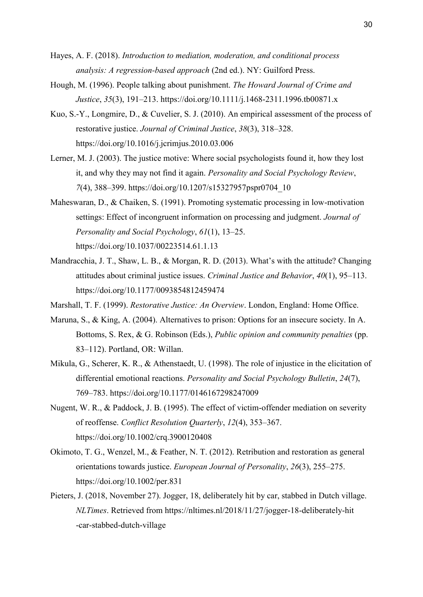- Hayes, A. F. (2018). *Introduction to mediation, moderation, and conditional process analysis: A regression-based approach* (2nd ed.). NY: Guilford Press.
- Hough, M. (1996). People talking about punishment. *The Howard Journal of Crime and Justice*, *35*(3), 191–213. https://doi.org/10.1111/j.1468-2311.1996.tb00871.x
- Kuo, S.-Y., Longmire, D., & Cuvelier, S. J. (2010). An empirical assessment of the process of restorative justice. *Journal of Criminal Justice*, *38*(3), 318–328. https://doi.org/10.1016/j.jcrimjus.2010.03.006
- Lerner, M. J. (2003). The justice motive: Where social psychologists found it, how they lost it, and why they may not find it again. *Personality and Social Psychology Review*, *7*(4), 388–399. https://doi.org/10.1207/s15327957pspr0704\_10
- Maheswaran, D., & Chaiken, S. (1991). Promoting systematic processing in low-motivation settings: Effect of incongruent information on processing and judgment. *Journal of Personality and Social Psychology*, *61*(1), 13–25. https://doi.org/10.1037/00223514.61.1.13
- Mandracchia, J. T., Shaw, L. B., & Morgan, R. D. (2013). What's with the attitude? Changing attitudes about criminal justice issues. *Criminal Justice and Behavior*, *40*(1), 95–113. https://doi.org/10.1177/0093854812459474
- Marshall, T. F. (1999). *Restorative Justice: An Overview*. London, England: Home Office.
- Maruna, S., & King, A. (2004). Alternatives to prison: Options for an insecure society. In A. Bottoms, S. Rex, & G. Robinson (Eds.), *Public opinion and community penalties* (pp. 83–112). Portland, OR: Willan.
- Mikula, G., Scherer, K. R., & Athenstaedt, U. (1998). The role of injustice in the elicitation of differential emotional reactions. *Personality and Social Psychology Bulletin*, *24*(7), 769–783. https://doi.org/10.1177/0146167298247009
- Nugent, W. R., & Paddock, J. B. (1995). The effect of victim-offender mediation on severity of reoffense. *Conflict Resolution Quarterly*, *12*(4), 353–367. https://doi.org/10.1002/crq.3900120408
- Okimoto, T. G., Wenzel, M., & Feather, N. T. (2012). Retribution and restoration as general orientations towards justice. *European Journal of Personality*, *26*(3), 255–275. https://doi.org/10.1002/per.831
- Pieters, J. (2018, November 27). Jogger, 18, deliberately hit by car, stabbed in Dutch village. *NLTimes*. Retrieved from https://nltimes.nl/2018/11/27/jogger-18-deliberately-hit -car-stabbed-dutch-village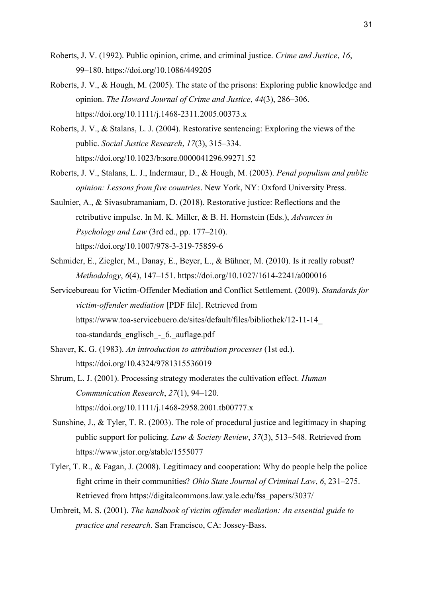- Roberts, J. V. (1992). Public opinion, crime, and criminal justice. *Crime and Justice*, *16*, 99–180. https://doi.org/10.1086/449205
- Roberts, J. V., & Hough, M. (2005). The state of the prisons: Exploring public knowledge and opinion. *The Howard Journal of Crime and Justice*, *44*(3), 286–306. https://doi.org/10.1111/j.1468-2311.2005.00373.x
- Roberts, J. V., & Stalans, L. J. (2004). Restorative sentencing: Exploring the views of the public. *Social Justice Research*, *17*(3), 315–334. https://doi.org/10.1023/b:sore.0000041296.99271.52
- Roberts, J. V., Stalans, L. J., Indermaur, D., & Hough, M. (2003). *Penal populism and public opinion: Lessons from five countries*. New York, NY: Oxford University Press.
- Saulnier, A., & Sivasubramaniam, D. (2018). Restorative justice: Reflections and the retributive impulse. In M. K. Miller, & B. H. Hornstein (Eds.), *Advances in Psychology and Law* (3rd ed., pp. 177–210). https://doi.org/10.1007/978-3-319-75859-6
- Schmider, E., Ziegler, M., Danay, E., Beyer, L., & Bühner, M. (2010). Is it really robust? *Methodology*, *6*(4), 147–151. https://doi.org/10.1027/1614-2241/a000016
- Servicebureau for Victim-Offender Mediation and Conflict Settlement. (2009). *Standards for victim-offender mediation* [PDF file]. Retrieved from https://www.toa-servicebuero.de/sites/default/files/bibliothek/12-11-14\_ toa-standards\_englisch - 6. auflage.pdf
- Shaver, K. G. (1983). *An introduction to attribution processes* (1st ed.). https://doi.org/10.4324/9781315536019
- Shrum, L. J. (2001). Processing strategy moderates the cultivation effect. *Human Communication Research*, *27*(1), 94–120. https://doi.org/10.1111/j.1468-2958.2001.tb00777.x
- Sunshine, J., & Tyler, T. R. (2003). The role of procedural justice and legitimacy in shaping public support for policing. *Law & Society Review*, *37*(3), 513–548. Retrieved from https://www.jstor.org/stable/1555077
- Tyler, T. R., & Fagan, J. (2008). Legitimacy and cooperation: Why do people help the police fight crime in their communities? *Ohio State Journal of Criminal Law*, *6*, 231–275. Retrieved from https://digitalcommons.law.yale.edu/fss\_papers/3037/
- Umbreit, M. S. (2001). *The handbook of victim offender mediation: An essential guide to practice and research*. San Francisco, CA: Jossey-Bass.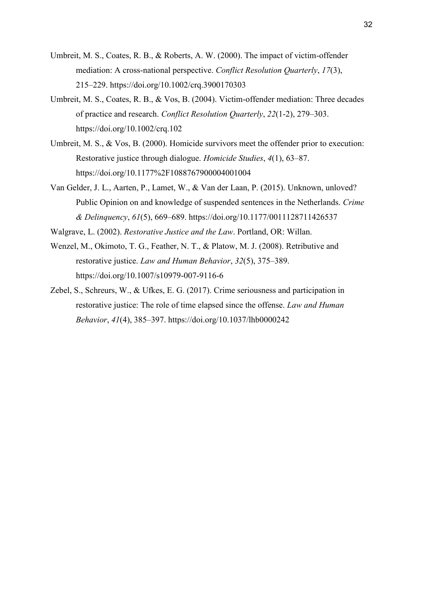- Umbreit, M. S., Coates, R. B., & Roberts, A. W. (2000). The impact of victim-offender mediation: A cross-national perspective. *Conflict Resolution Quarterly*, *17*(3), 215–229. https://doi.org/10.1002/crq.3900170303
- Umbreit, M. S., Coates, R. B., & Vos, B. (2004). Victim-offender mediation: Three decades of practice and research. *Conflict Resolution Quarterly*, *22*(1-2), 279–303. https://doi.org/10.1002/crq.102
- Umbreit, M. S., & Vos, B. (2000). Homicide survivors meet the offender prior to execution: Restorative justice through dialogue. *Homicide Studies*, *4*(1), 63–87. https://doi.org/10.1177%2F1088767900004001004
- Van Gelder, J. L., Aarten, P., Lamet, W., & Van der Laan, P. (2015). Unknown, unloved? Public Opinion on and knowledge of suspended sentences in the Netherlands. *Crime & Delinquency*, *61*(5), 669–689. https://doi.org/10.1177/0011128711426537
- Walgrave, L. (2002). *Restorative Justice and the Law*. Portland, OR: Willan.
- Wenzel, M., Okimoto, T. G., Feather, N. T., & Platow, M. J. (2008). Retributive and restorative justice. *Law and Human Behavior*, *32*(5), 375–389. https://doi.org/10.1007/s10979-007-9116-6
- Zebel, S., Schreurs, W., & Ufkes, E. G. (2017). Crime seriousness and participation in restorative justice: The role of time elapsed since the offense. *Law and Human Behavior*, *41*(4), 385–397. https://doi.org/10.1037/lhb0000242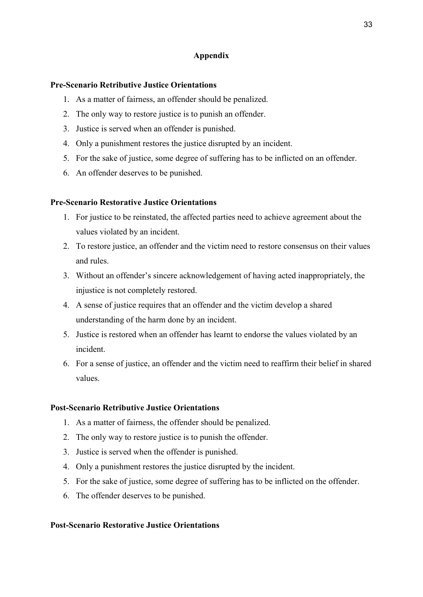# **Appendix**

## **Pre-Scenario Retributive Justice Orientations**

- 1. As a matter of fairness, an offender should be penalized.
- 2. The only way to restore justice is to punish an offender.
- 3. Justice is served when an offender is punished.
- 4. Only a punishment restores the justice disrupted by an incident.
- 5. For the sake of justice, some degree of suffering has to be inflicted on an offender.
- 6. An offender deserves to be punished.

# **Pre-Scenario Restorative Justice Orientations**

- 1. For justice to be reinstated, the affected parties need to achieve agreement about the values violated by an incident.
- 2. To restore justice, an offender and the victim need to restore consensus on their values and rules.
- 3. Without an offender's sincere acknowledgement of having acted inappropriately, the injustice is not completely restored.
- 4. A sense of justice requires that an offender and the victim develop a shared understanding of the harm done by an incident.
- 5. Justice is restored when an offender has learnt to endorse the values violated by an incident.
- 6. For a sense of justice, an offender and the victim need to reaffirm their belief in shared values.

## **Post-Scenario Retributive Justice Orientations**

- 1. As a matter of fairness, the offender should be penalized.
- 2. The only way to restore justice is to punish the offender.
- 3. Justice is served when the offender is punished.
- 4. Only a punishment restores the justice disrupted by the incident.
- 5. For the sake of justice, some degree of suffering has to be inflicted on the offender.
- 6. The offender deserves to be punished.

## **Post-Scenario Restorative Justice Orientations**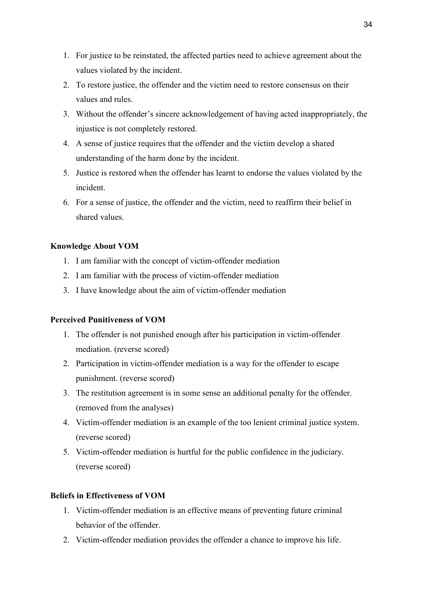- 1. For justice to be reinstated, the affected parties need to achieve agreement about the values violated by the incident.
- 2. To restore justice, the offender and the victim need to restore consensus on their values and rules.
- 3. Without the offender's sincere acknowledgement of having acted inappropriately, the injustice is not completely restored.
- 4. A sense of justice requires that the offender and the victim develop a shared understanding of the harm done by the incident.
- 5. Justice is restored when the offender has learnt to endorse the values violated by the incident.
- 6. For a sense of justice, the offender and the victim, need to reaffirm their belief in shared values.

# **Knowledge About VOM**

- 1. I am familiar with the concept of victim-offender mediation
- 2. I am familiar with the process of victim-offender mediation
- 3. I have knowledge about the aim of victim-offender mediation

# **Perceived Punitiveness of VOM**

- 1. The offender is not punished enough after his participation in victim-offender mediation. (reverse scored)
- 2. Participation in victim-offender mediation is a way for the offender to escape punishment. (reverse scored)
- 3. The restitution agreement is in some sense an additional penalty for the offender. (removed from the analyses)
- 4. Victim-offender mediation is an example of the too lenient criminal justice system. (reverse scored)
- 5. Victim-offender mediation is hurtful for the public confidence in the judiciary. (reverse scored)

# **Beliefs in Effectiveness of VOM**

- 1. Victim-offender mediation is an effective means of preventing future criminal behavior of the offender.
- 2. Victim-offender mediation provides the offender a chance to improve his life.